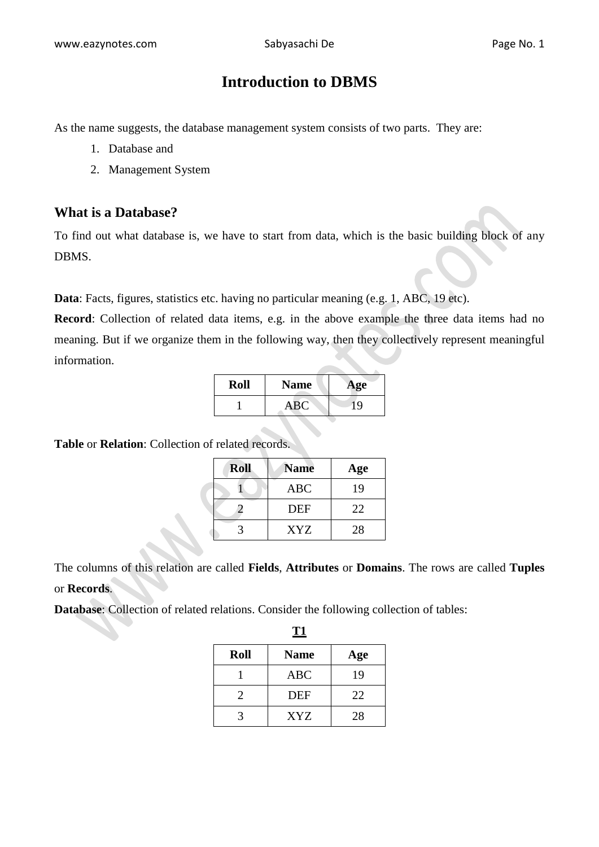# **Introduction to DBMS**

As the name suggests, the database management system consists of two parts. They are:

- 1. Database and
- 2. Management System

#### **What is a Database?**

To find out what database is, we have to start from data, which is the basic building block of any DBMS.

Data: Facts, figures, statistics etc. having no particular meaning (e.g. 1, ABC, 19 etc).

**Record**: Collection of related data items, e.g. in the above example the three data items had no meaning. But if we organize them in the following way, then they collectively represent meaningful information.

| Roll | <b>Name</b> | Age |
|------|-------------|-----|
|      | <b>ABC</b>  |     |

**Table** or **Relation**: Collection of related records.

| <b>Roll</b> | <b>Name</b> | Age |
|-------------|-------------|-----|
|             | <b>ABC</b>  | 19  |
|             | <b>DEF</b>  | 22  |
|             | <b>XYZ</b>  | 28  |

The columns of this relation are called **Fields**, **Attributes** or **Domains**. The rows are called **Tuples** or **Records**.

**Database**: Collection of related relations. Consider the following collection of tables:

**Roll Name Age** 1 ABC 19 2 DEF 22 3 | XYZ | 28

**T1**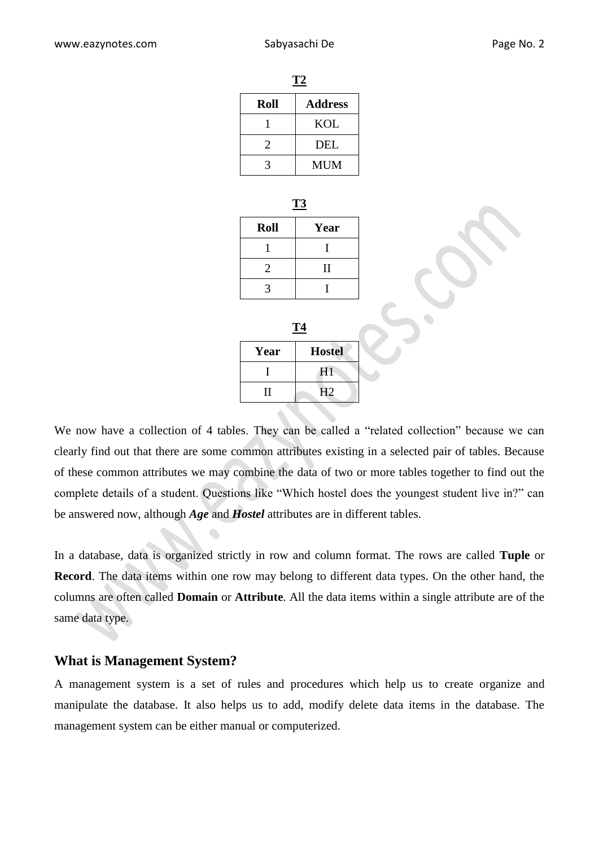| T2   |                |  |
|------|----------------|--|
| Roll | <b>Address</b> |  |
|      | KOL            |  |
| 2    | <b>DEL</b>     |  |
|      | <b>MUM</b>     |  |

| . . |
|-----|
|     |

| <b>Roll</b>           | Year         |
|-----------------------|--------------|
|                       |              |
| $\mathcal{D}_{\cdot}$ | $\mathbf{I}$ |
|                       |              |

| Т4   |                |  |
|------|----------------|--|
| Year | <b>Hostel</b>  |  |
|      | H1             |  |
| Н    | H <sub>2</sub> |  |

We now have a collection of 4 tables. They can be called a "related collection" because we can clearly find out that there are some common attributes existing in a selected pair of tables. Because of these common attributes we may combine the data of two or more tables together to find out the complete details of a student. Questions like "Which hostel does the youngest student live in?" can be answered now, although *Age* and *Hostel* attributes are in different tables.

In a database, data is organized strictly in row and column format. The rows are called **Tuple** or **Record**. The data items within one row may belong to different data types. On the other hand, the columns are often called **Domain** or **Attribute**. All the data items within a single attribute are of the same data type.

#### **What is Management System?**

A management system is a set of rules and procedures which help us to create organize and manipulate the database. It also helps us to add, modify delete data items in the database. The management system can be either manual or computerized.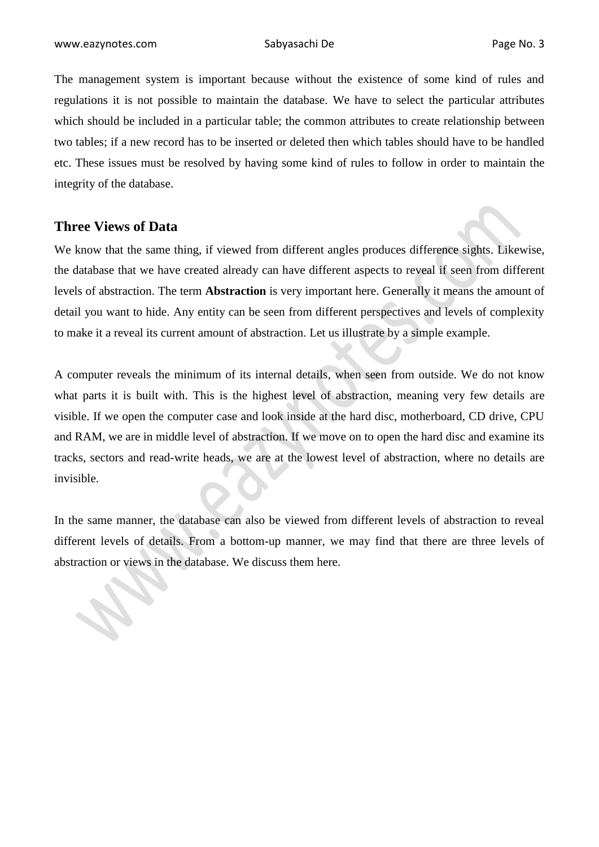The management system is important because without the existence of some kind of rules and regulations it is not possible to maintain the database. We have to select the particular attributes which should be included in a particular table; the common attributes to create relationship between two tables; if a new record has to be inserted or deleted then which tables should have to be handled etc. These issues must be resolved by having some kind of rules to follow in order to maintain the integrity of the database.

#### **Three Views of Data**

We know that the same thing, if viewed from different angles produces difference sights. Likewise, the database that we have created already can have different aspects to reveal if seen from different levels of abstraction. The term **Abstraction** is very important here. Generally it means the amount of detail you want to hide. Any entity can be seen from different perspectives and levels of complexity to make it a reveal its current amount of abstraction. Let us illustrate by a simple example.

A computer reveals the minimum of its internal details, when seen from outside. We do not know what parts it is built with. This is the highest level of abstraction, meaning very few details are visible. If we open the computer case and look inside at the hard disc, motherboard, CD drive, CPU and RAM, we are in middle level of abstraction. If we move on to open the hard disc and examine its tracks, sectors and read-write heads, we are at the lowest level of abstraction, where no details are invisible.

In the same manner, the database can also be viewed from different levels of abstraction to reveal different levels of details. From a bottom-up manner, we may find that there are three levels of abstraction or views in the database. We discuss them here.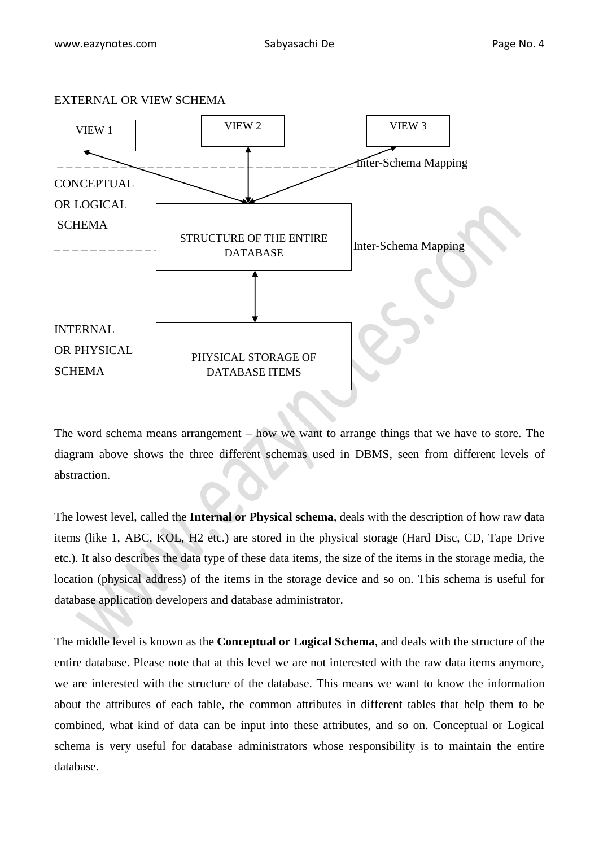

The word schema means arrangement – how we want to arrange things that we have to store. The diagram above shows the three different schemas used in DBMS, seen from different levels of abstraction.

The lowest level, called the **Internal or Physical schema**, deals with the description of how raw data items (like 1, ABC, KOL, H2 etc.) are stored in the physical storage (Hard Disc, CD, Tape Drive etc.). It also describes the data type of these data items, the size of the items in the storage media, the location (physical address) of the items in the storage device and so on. This schema is useful for database application developers and database administrator.

The middle level is known as the **Conceptual or Logical Schema**, and deals with the structure of the entire database. Please note that at this level we are not interested with the raw data items anymore, we are interested with the structure of the database. This means we want to know the information about the attributes of each table, the common attributes in different tables that help them to be combined, what kind of data can be input into these attributes, and so on. Conceptual or Logical schema is very useful for database administrators whose responsibility is to maintain the entire database.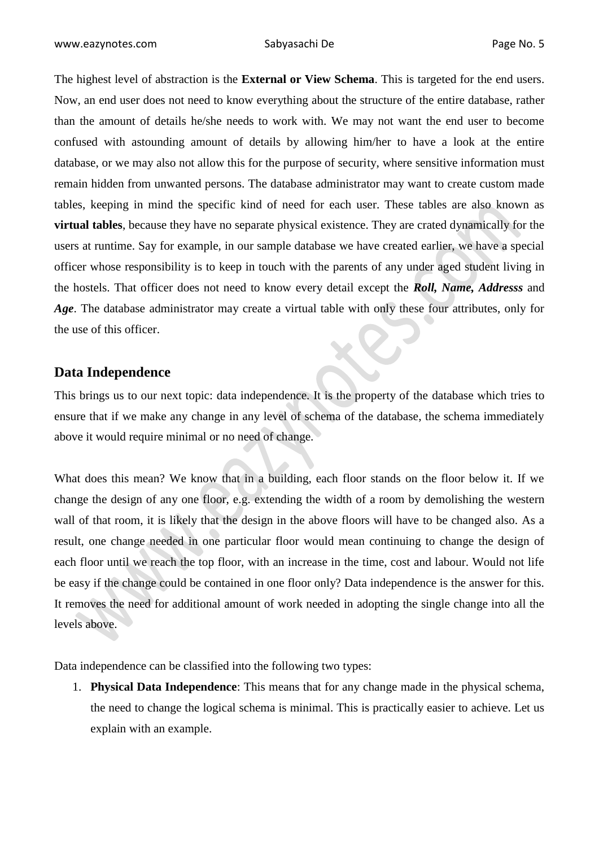The highest level of abstraction is the **External or View Schema**. This is targeted for the end users. Now, an end user does not need to know everything about the structure of the entire database, rather than the amount of details he/she needs to work with. We may not want the end user to become confused with astounding amount of details by allowing him/her to have a look at the entire database, or we may also not allow this for the purpose of security, where sensitive information must remain hidden from unwanted persons. The database administrator may want to create custom made tables, keeping in mind the specific kind of need for each user. These tables are also known as **virtual tables**, because they have no separate physical existence. They are crated dynamically for the users at runtime. Say for example, in our sample database we have created earlier, we have a special officer whose responsibility is to keep in touch with the parents of any under aged student living in the hostels. That officer does not need to know every detail except the *Roll, Name, Addresss* and *Age*. The database administrator may create a virtual table with only these four attributes, only for the use of this officer.

## **Data Independence**

This brings us to our next topic: data independence. It is the property of the database which tries to ensure that if we make any change in any level of schema of the database, the schema immediately above it would require minimal or no need of change.

What does this mean? We know that in a building, each floor stands on the floor below it. If we change the design of any one floor, e.g. extending the width of a room by demolishing the western wall of that room, it is likely that the design in the above floors will have to be changed also. As a result, one change needed in one particular floor would mean continuing to change the design of each floor until we reach the top floor, with an increase in the time, cost and labour. Would not life be easy if the change could be contained in one floor only? Data independence is the answer for this. It removes the need for additional amount of work needed in adopting the single change into all the levels above.

Data independence can be classified into the following two types:

1. **Physical Data Independence**: This means that for any change made in the physical schema, the need to change the logical schema is minimal. This is practically easier to achieve. Let us explain with an example.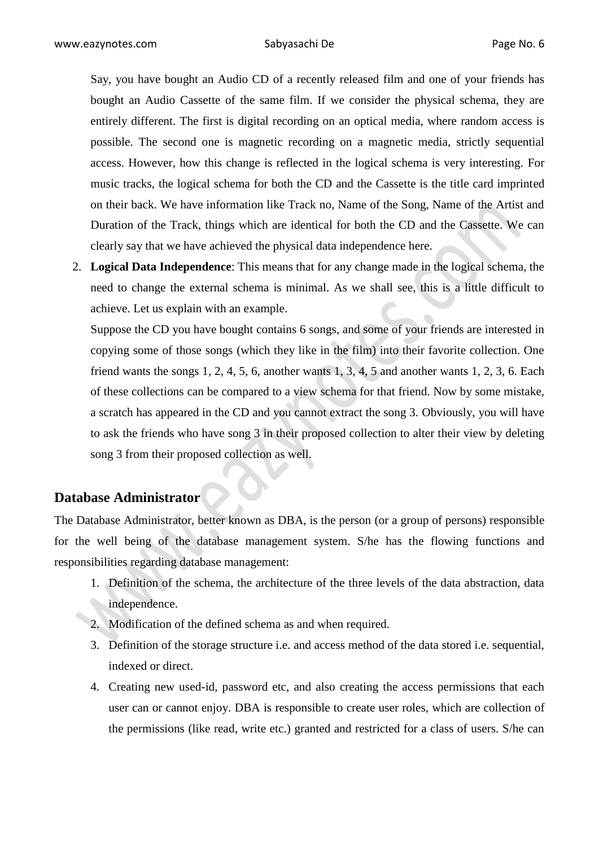Say, you have bought an Audio CD of a recently released film and one of your friends has bought an Audio Cassette of the same film. If we consider the physical schema, they are entirely different. The first is digital recording on an optical media, where random access is possible. The second one is magnetic recording on a magnetic media, strictly sequential access. However, how this change is reflected in the logical schema is very interesting. For music tracks, the logical schema for both the CD and the Cassette is the title card imprinted on their back. We have information like Track no, Name of the Song, Name of the Artist and Duration of the Track, things which are identical for both the CD and the Cassette. We can clearly say that we have achieved the physical data independence here.

2. **Logical Data Independence**: This means that for any change made in the logical schema, the need to change the external schema is minimal. As we shall see, this is a little difficult to achieve. Let us explain with an example.

Suppose the CD you have bought contains 6 songs, and some of your friends are interested in copying some of those songs (which they like in the film) into their favorite collection. One friend wants the songs 1, 2, 4, 5, 6, another wants 1, 3, 4, 5 and another wants 1, 2, 3, 6. Each of these collections can be compared to a view schema for that friend. Now by some mistake, a scratch has appeared in the CD and you cannot extract the song 3. Obviously, you will have to ask the friends who have song 3 in their proposed collection to alter their view by deleting song 3 from their proposed collection as well.

### **Database Administrator**

The Database Administrator, better known as DBA, is the person (or a group of persons) responsible for the well being of the database management system. S/he has the flowing functions and responsibilities regarding database management:

- 1. Definition of the schema, the architecture of the three levels of the data abstraction, data independence.
- 2. Modification of the defined schema as and when required.
- 3. Definition of the storage structure i.e. and access method of the data stored i.e. sequential, indexed or direct.
- 4. Creating new used-id, password etc, and also creating the access permissions that each user can or cannot enjoy. DBA is responsible to create user roles, which are collection of the permissions (like read, write etc.) granted and restricted for a class of users. S/he can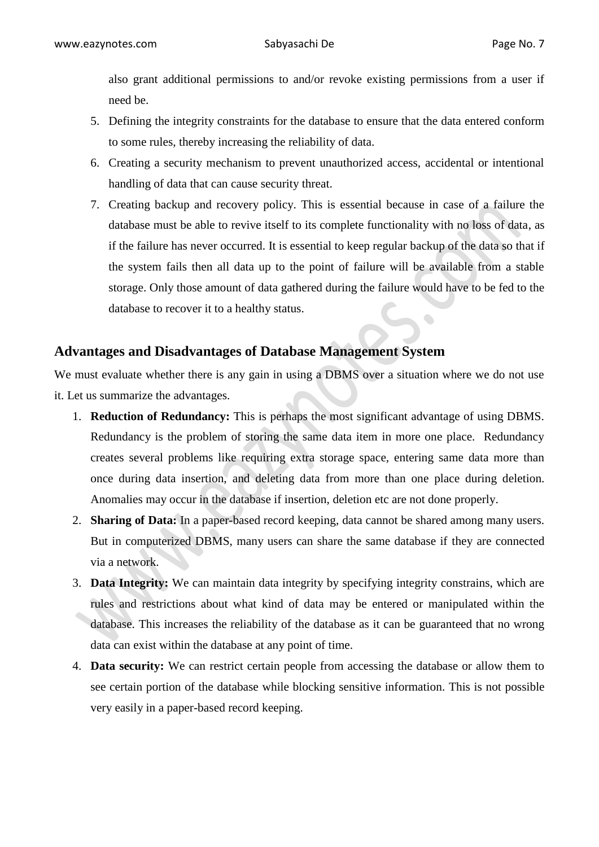also grant additional permissions to and/or revoke existing permissions from a user if need be.

- 5. Defining the integrity constraints for the database to ensure that the data entered conform to some rules, thereby increasing the reliability of data.
- 6. Creating a security mechanism to prevent unauthorized access, accidental or intentional handling of data that can cause security threat.
- 7. Creating backup and recovery policy. This is essential because in case of a failure the database must be able to revive itself to its complete functionality with no loss of data, as if the failure has never occurred. It is essential to keep regular backup of the data so that if the system fails then all data up to the point of failure will be available from a stable storage. Only those amount of data gathered during the failure would have to be fed to the database to recover it to a healthy status.  $\bullet$

### **Advantages and Disadvantages of Database Management System**

We must evaluate whether there is any gain in using a DBMS over a situation where we do not use it. Let us summarize the advantages.

- 1. **Reduction of Redundancy:** This is perhaps the most significant advantage of using DBMS. Redundancy is the problem of storing the same data item in more one place. Redundancy creates several problems like requiring extra storage space, entering same data more than once during data insertion, and deleting data from more than one place during deletion. Anomalies may occur in the database if insertion, deletion etc are not done properly.
- 2. **Sharing of Data:** In a paper-based record keeping, data cannot be shared among many users. But in computerized DBMS, many users can share the same database if they are connected via a network.
- 3. **Data Integrity:** We can maintain data integrity by specifying integrity constrains, which are rules and restrictions about what kind of data may be entered or manipulated within the database. This increases the reliability of the database as it can be guaranteed that no wrong data can exist within the database at any point of time.
- 4. **Data security:** We can restrict certain people from accessing the database or allow them to see certain portion of the database while blocking sensitive information. This is not possible very easily in a paper-based record keeping.